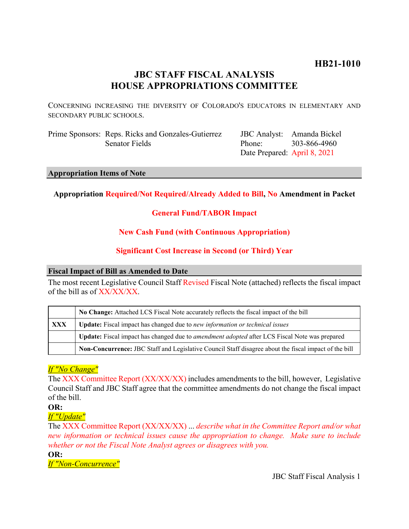# **HB21-1010**

# **JBC STAFF FISCAL ANALYSIS HOUSE APPROPRIATIONS COMMITTEE**

CONCERNING INCREASING THE DIVERSITY OF COLORADO'S EDUCATORS IN ELEMENTARY AND SECONDARY PUBLIC SCHOOLS.

Prime Sponsors: Reps. Ricks and Gonzales-Gutierrez Senator Fields

JBC Analyst: Amanda Bickel Phone: Date Prepared: April 8, 2021 303-866-4960

### **Appropriation Items of Note**

# **Appropriation Required/Not Required/Already Added to Bill, No Amendment in Packet**

# **General Fund/TABOR Impact**

# **New Cash Fund (with Continuous Appropriation)**

# **Significant Cost Increase in Second (or Third) Year**

# **Fiscal Impact of Bill as Amended to Date**

The most recent Legislative Council Staff Revised Fiscal Note (attached) reflects the fiscal impact of the bill as of XX/XX/XX.

|     | No Change: Attached LCS Fiscal Note accurately reflects the fiscal impact of the bill                       |  |
|-----|-------------------------------------------------------------------------------------------------------------|--|
| XXX | <b>Update:</b> Fiscal impact has changed due to new information or technical issues                         |  |
|     | <b>Update:</b> Fiscal impact has changed due to <i>amendment adopted</i> after LCS Fiscal Note was prepared |  |
|     | Non-Concurrence: JBC Staff and Legislative Council Staff disagree about the fiscal impact of the bill       |  |

# *If "No Change"*

The XXX Committee Report (XX/XX/XX) includes amendments to the bill, however, Legislative Council Staff and JBC Staff agree that the committee amendments do not change the fiscal impact of the bill.

# **OR:**

# *If "Update"*

The XXX Committee Report (XX/XX/XX) ... *describe what in the Committee Report and/or what new information or technical issues cause the appropriation to change. Make sure to include whether or not the Fiscal Note Analyst agrees or disagrees with you.*

**OR:**

*If "Non-Concurrence"*

JBC Staff Fiscal Analysis 1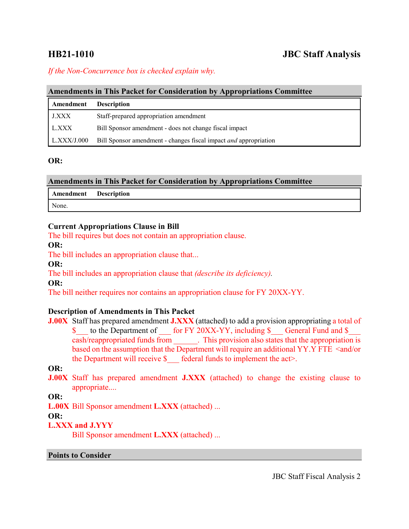# **HB21-1010 JBC Staff Analysis**

# *If the Non-Concurrence box is checked explain why.*

#### **Amendments in This Packet for Consideration by Appropriations Committee**

| Amendment   | <b>Description</b>                                               |
|-------------|------------------------------------------------------------------|
| J.XXX       | Staff-prepared appropriation amendment                           |
| L.XXX       | Bill Sponsor amendment - does not change fiscal impact           |
| L.XXX/J.000 | Bill Sponsor amendment - changes fiscal impact and appropriation |

#### **OR:**

| <b>Amendments in This Packet for Consideration by Appropriations Committee</b> |  |  |  |
|--------------------------------------------------------------------------------|--|--|--|
|--------------------------------------------------------------------------------|--|--|--|

| Amendment Description |  |
|-----------------------|--|
| None.                 |  |

### **Current Appropriations Clause in Bill**

The bill requires but does not contain an appropriation clause.

### **OR:**

The bill includes an appropriation clause that...

**OR:**

The bill includes an appropriation clause that *(describe its deficiency).*

### **OR:**

The bill neither requires nor contains an appropriation clause for FY 20XX-YY.

# **Description of Amendments in This Packet**

**J.00X** Staff has prepared amendment **J.XXX** (attached) to add a provision appropriating a total of \$ to the Department of for FY 20XX-YY, including \$ General Fund and \$ cash/reappropriated funds from \_\_\_\_\_\_. This provision also states that the appropriation is based on the assumption that the Department will require an additional YY.Y FTE <and/or the Department will receive  $\oint$  federal funds to implement the act>.

# **OR:**

**J.00X** Staff has prepared amendment **J.XXX** (attached) to change the existing clause to appropriate....

**OR:**

**L.00X** Bill Sponsor amendment **L.XXX** (attached) ...

# **OR:**

# **L.XXX and J.YYY**

Bill Sponsor amendment **L.XXX** (attached) ...

#### **Points to Consider**

JBC Staff Fiscal Analysis 2